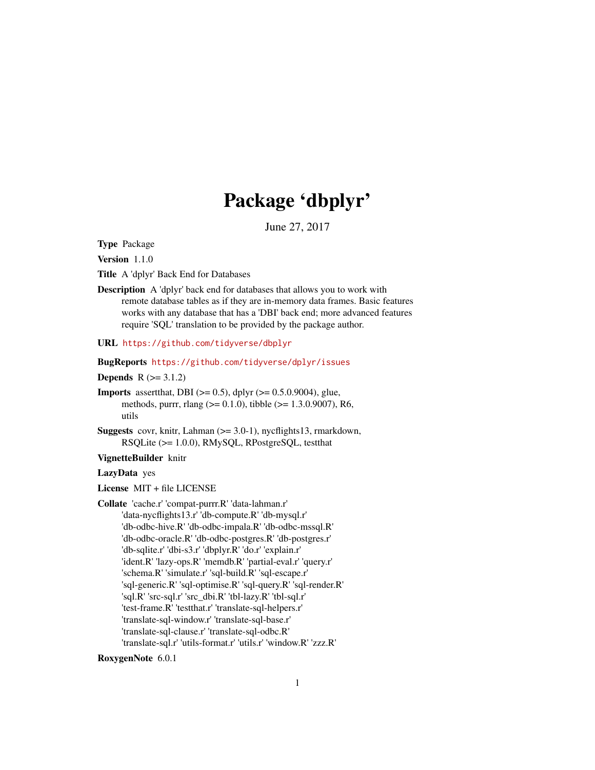## Package 'dbplyr'

June 27, 2017

<span id="page-0-0"></span>Type Package

Version 1.1.0

Title A 'dplyr' Back End for Databases

Description A 'dplyr' back end for databases that allows you to work with remote database tables as if they are in-memory data frames. Basic features works with any database that has a 'DBI' back end; more advanced features require 'SQL' translation to be provided by the package author.

URL <https://github.com/tidyverse/dbplyr>

BugReports <https://github.com/tidyverse/dplyr/issues>

**Depends**  $R (= 3.1.2)$ 

**Imports** assert that, DBI ( $> = 0.5$ ), dplyr ( $> = 0.5.0.9004$ ), glue, methods, purrr, rlang (>= 0.1.0), tibble (>= 1.3.0.9007), R6, utils

**Suggests** covr, knitr, Lahman  $(>= 3.0-1)$ , nycflights13, rmarkdown, RSQLite (>= 1.0.0), RMySQL, RPostgreSQL, testthat

VignetteBuilder knitr

#### LazyData yes

License MIT + file LICENSE

Collate 'cache.r' 'compat-purrr.R' 'data-lahman.r' 'data-nycflights13.r' 'db-compute.R' 'db-mysql.r' 'db-odbc-hive.R' 'db-odbc-impala.R' 'db-odbc-mssql.R' 'db-odbc-oracle.R' 'db-odbc-postgres.R' 'db-postgres.r' 'db-sqlite.r' 'dbi-s3.r' 'dbplyr.R' 'do.r' 'explain.r' 'ident.R' 'lazy-ops.R' 'memdb.R' 'partial-eval.r' 'query.r' 'schema.R' 'simulate.r' 'sql-build.R' 'sql-escape.r' 'sql-generic.R' 'sql-optimise.R' 'sql-query.R' 'sql-render.R' 'sql.R' 'src-sql.r' 'src\_dbi.R' 'tbl-lazy.R' 'tbl-sql.r' 'test-frame.R' 'testthat.r' 'translate-sql-helpers.r' 'translate-sql-window.r' 'translate-sql-base.r' 'translate-sql-clause.r' 'translate-sql-odbc.R' 'translate-sql.r' 'utils-format.r' 'utils.r' 'window.R' 'zzz.R'

RoxygenNote 6.0.1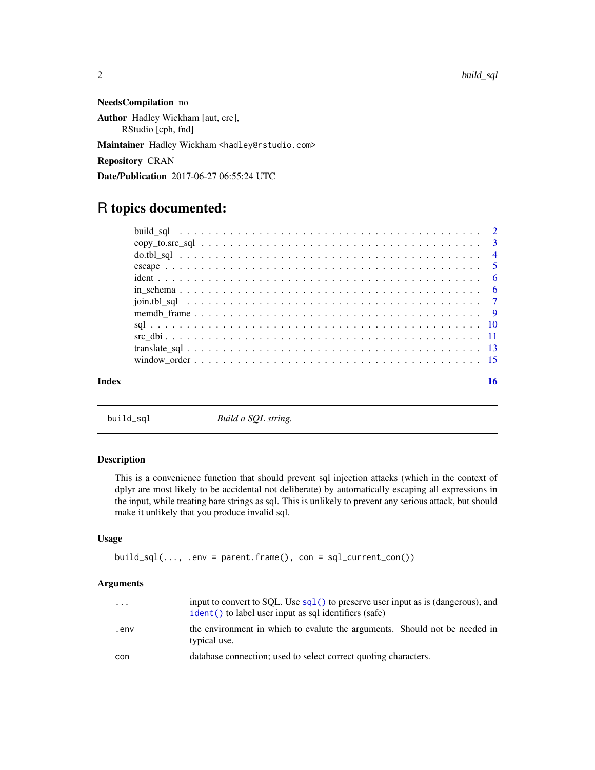<span id="page-1-0"></span>NeedsCompilation no Author Hadley Wickham [aut, cre], RStudio [cph, fnd] Maintainer Hadley Wickham <hadley@rstudio.com> Repository CRAN Date/Publication 2017-06-27 06:55:24 UTC

## R topics documented:

#### **Index** the contract of the contract of the contract of the contract of the contract of the contract of the contract of the contract of the contract of the contract of the contract of the contract of the contract of the co

build\_sql *Build a SQL string.*

## Description

This is a convenience function that should prevent sql injection attacks (which in the context of dplyr are most likely to be accidental not deliberate) by automatically escaping all expressions in the input, while treating bare strings as sql. This is unlikely to prevent any serious attack, but should make it unlikely that you produce invalid sql.

#### Usage

```
build_sql(..., .env = parent.frame(), con = sql_current_toon())
```
## Arguments

| $\cdots$ | input to convert to SQL. Use $sq1()$ to preserve user input as is (dangerous), and<br>ident() to label user input as sql identifiers (safe) |
|----------|---------------------------------------------------------------------------------------------------------------------------------------------|
| env.     | the environment in which to evalute the arguments. Should not be needed in<br>typical use.                                                  |
| con      | database connection; used to select correct quoting characters.                                                                             |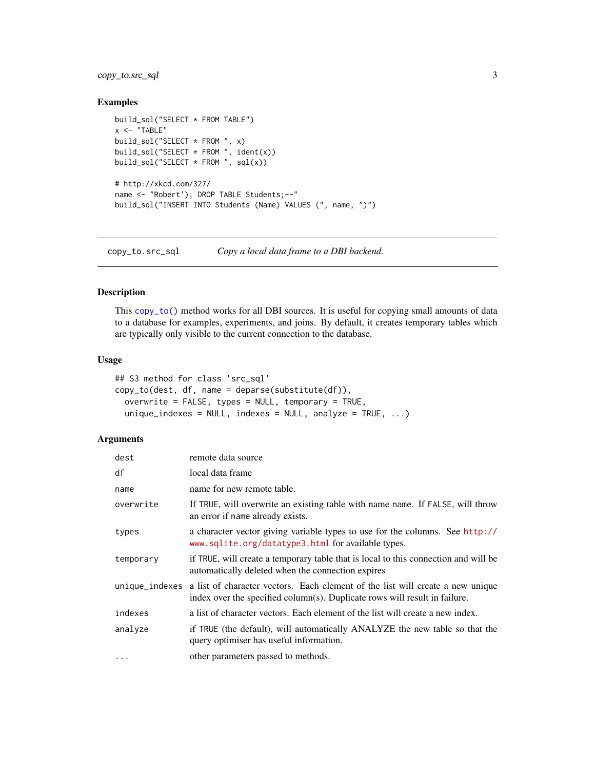## <span id="page-2-0"></span>copy\_to.src\_sql 3

## Examples

```
build_sql("SELECT * FROM TABLE")
x < - "TABLE"
build_sql("SELECT * FROM ", x)
build_sql("SELECT * FROM ", ident(x))
build_sql("SELECT * FROM ", sql(x))
# http://xkcd.com/327/
name <- "Robert'); DROP TABLE Students;--"
build_sql("INSERT INTO Students (Name) VALUES (", name, ")")
```
copy\_to.src\_sql *Copy a local data frame to a DBI backend.*

#### Description

This [copy\\_to\(\)](#page-0-0) method works for all DBI sources. It is useful for copying small amounts of data to a database for examples, experiments, and joins. By default, it creates temporary tables which are typically only visible to the current connection to the database.

## Usage

```
## S3 method for class 'src_sql'
copy_to(dest, df, name = deparse(substitute(df)),
  overwrite = FALSE, types = NULL, temporary = TRUE,
  unique_indexes = NULL, indexes = NULL, analyze = TRUE, \ldots)
```
## Arguments

| dest           | remote data source                                                                                                                                           |
|----------------|--------------------------------------------------------------------------------------------------------------------------------------------------------------|
| df             | local data frame                                                                                                                                             |
| name           | name for new remote table.                                                                                                                                   |
| overwrite      | If TRUE, will overwrite an existing table with name name. If FALSE, will throw<br>an error if name already exists.                                           |
| types          | a character vector giving variable types to use for the columns. See http://<br>www.sqlite.org/datatype3.html for available types.                           |
| temporary      | if TRUE, will create a temporary table that is local to this connection and will be<br>automatically deleted when the connection expires                     |
| unique_indexes | a list of character vectors. Each element of the list will create a new unique<br>index over the specified column(s). Duplicate rows will result in failure. |
| indexes        | a list of character vectors. Each element of the list will create a new index.                                                                               |
| analyze        | if TRUE (the default), will automatically ANALYZE the new table so that the<br>query optimiser has useful information.                                       |
| $\cdots$       | other parameters passed to methods.                                                                                                                          |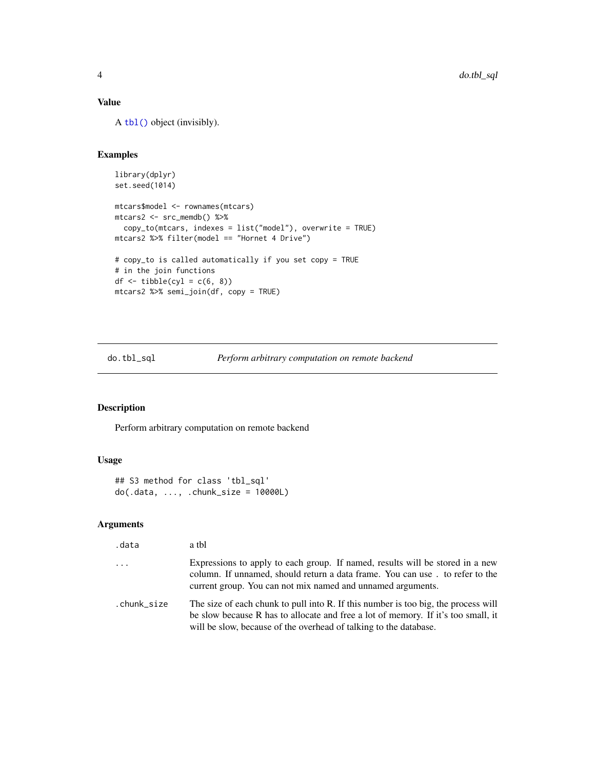## <span id="page-3-0"></span>Value

A [tbl\(\)](#page-0-0) object (invisibly).

## Examples

```
library(dplyr)
set.seed(1014)
mtcars$model <- rownames(mtcars)
mtcars2 <- src_memdb() %>%
  copy_to(mtcars, indexes = list("model"), overwrite = TRUE)
mtcars2 %>% filter(model == "Hornet 4 Drive")
# copy_to is called automatically if you set copy = TRUE
# in the join functions
df \leftarrow tible(cyl = c(6, 8))mtcars2 %>% semi_join(df, copy = TRUE)
```
do.tbl\_sql *Perform arbitrary computation on remote backend*

## Description

Perform arbitrary computation on remote backend

## Usage

```
## S3 method for class 'tbl_sql'
do(.data, ..., .chunk_size = 10000L)
```
## Arguments

| .data               | a tbl                                                                                                                                                                                                                                        |
|---------------------|----------------------------------------------------------------------------------------------------------------------------------------------------------------------------------------------------------------------------------------------|
| $\cdot \cdot \cdot$ | Expressions to apply to each group. If named, results will be stored in a new<br>column. If unnamed, should return a data frame. You can use. to refer to the<br>current group. You can not mix named and unnamed arguments.                 |
| .chunk size         | The size of each chunk to pull into R. If this number is too big, the process will<br>be slow because R has to allocate and free a lot of memory. If it's too small, it<br>will be slow, because of the overhead of talking to the database. |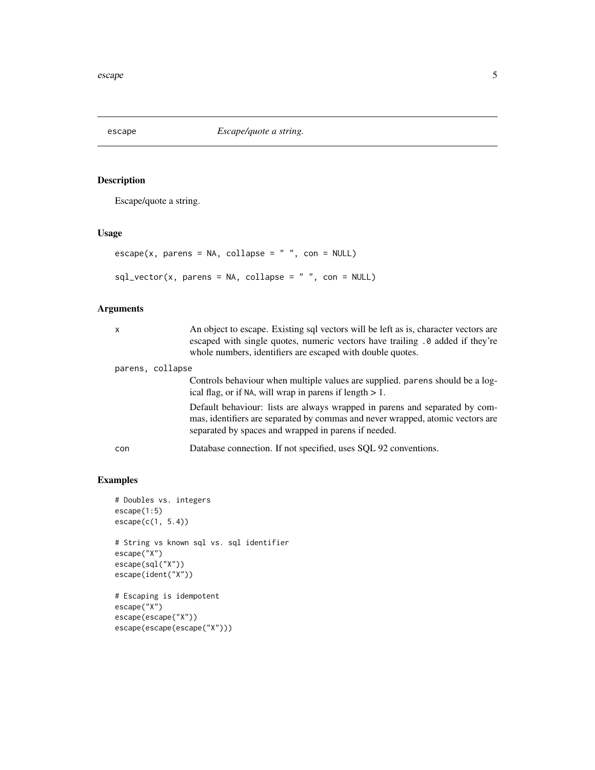<span id="page-4-0"></span>

Escape/quote a string.

## Usage

```
\text{escape}(x, \text{ parents} = \text{NA}, \text{ collapse} = "", \text{con} = \text{NULL})sql\_vector(x, parents = NA, collapse = " ", con = NULL)
```
## Arguments

| $\boldsymbol{\mathsf{x}}$ | An object to escape. Existing sql vectors will be left as is, character vectors are<br>escaped with single quotes, numeric vectors have trailing . 0 added if they're<br>whole numbers, identifiers are escaped with double quotes. |
|---------------------------|-------------------------------------------------------------------------------------------------------------------------------------------------------------------------------------------------------------------------------------|
| parens, collapse          |                                                                                                                                                                                                                                     |
|                           | Controls behaviour when multiple values are supplied. parens should be a log-<br>ical flag, or if NA, will wrap in parens if length $> 1$ .                                                                                         |
|                           | Default behaviour: lists are always wrapped in parens and separated by com-<br>mas, identifiers are separated by commas and never wrapped, atomic vectors are<br>separated by spaces and wrapped in parens if needed.               |
| con                       | Database connection. If not specified, uses SQL 92 conventions.                                                                                                                                                                     |

```
# Doubles vs. integers
escape(1:5)
escape(c(1, 5.4))
# String vs known sql vs. sql identifier
escape("X")
escape(sql("X"))
escape(ident("X"))
# Escaping is idempotent
escape("X")
escape(escape("X"))
escape(escape(escape("X")))
```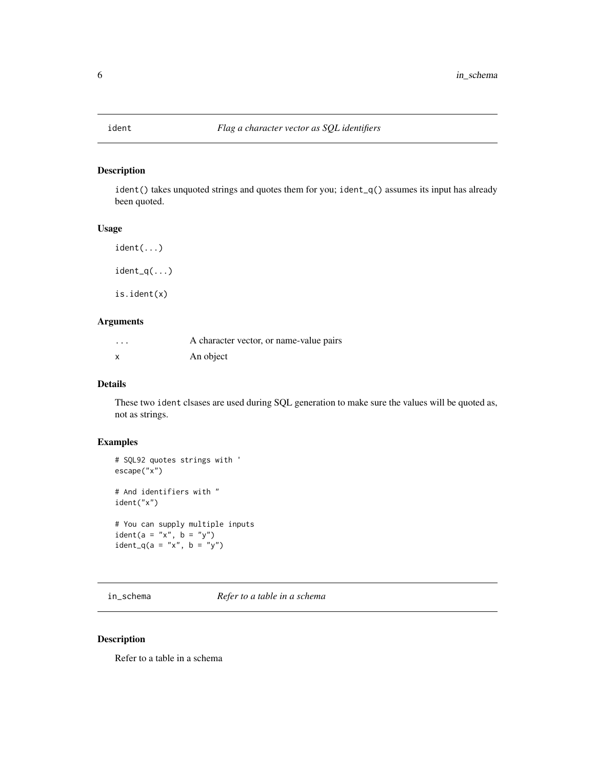<span id="page-5-1"></span><span id="page-5-0"></span>

ident() takes unquoted strings and quotes them for you; ident\_q() assumes its input has already been quoted.

#### Usage

ident(...)  $ident_q(...)$ 

is.ident(x)

## Arguments

| $\cdots$ | A character vector, or name-value pairs |
|----------|-----------------------------------------|
| X        | An object                               |

## Details

These two ident clsases are used during SQL generation to make sure the values will be quoted as, not as strings.

## Examples

```
# SQL92 quotes strings with '
escape("x")
# And identifiers with "
ident("x")
# You can supply multiple inputs
ident(a = "x", b = "y")ident_q(a = "x", b = "y")
```
in\_schema *Refer to a table in a schema*

## Description

Refer to a table in a schema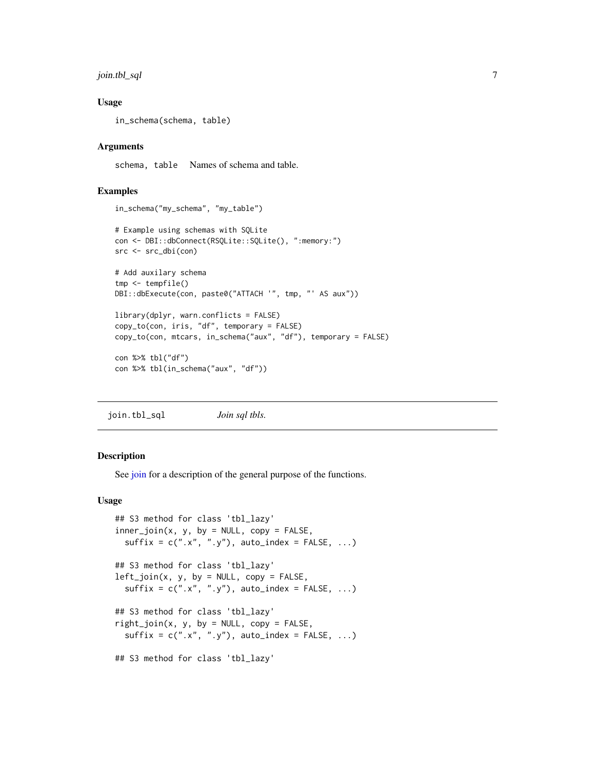## <span id="page-6-0"></span>join.tbl\_sql 7

#### Usage

```
in_schema(schema, table)
```
#### Arguments

schema, table Names of schema and table.

#### Examples

```
in_schema("my_schema", "my_table")
# Example using schemas with SQLite
con <- DBI::dbConnect(RSQLite::SQLite(), ":memory:")
src <- src_dbi(con)
# Add auxilary schema
tmp <- tempfile()
DBI::dbExecute(con, paste0("ATTACH '", tmp, "' AS aux"))
library(dplyr, warn.conflicts = FALSE)
copy_to(con, iris, "df", temporary = FALSE)
copy_to(con, mtcars, in_schema("aux", "df"), temporary = FALSE)
con %>% tbl("df")
con %>% tbl(in_schema("aux", "df"))
```
join.tbl\_sql *Join sql tbls.*

#### **Description**

See [join](#page-0-0) for a description of the general purpose of the functions.

#### Usage

```
## S3 method for class 'tbl_lazy'
inner\_join(x, y, by = NULL, copy = FALSE,sufficient = c("x", "y"), auto_index = FALSE, ...)## S3 method for class 'tbl_lazy'
left\_join(x, y, by = NULL, copy = FALSE,sufficient = c("x", "y"), auto_index = FALSE, ...)## S3 method for class 'tbl_lazy'
right\_join(x, y, by = NULL, copy = FALSE,sufficient = c("x", "y"), auto_index = FALSE, ...)## S3 method for class 'tbl_lazy'
```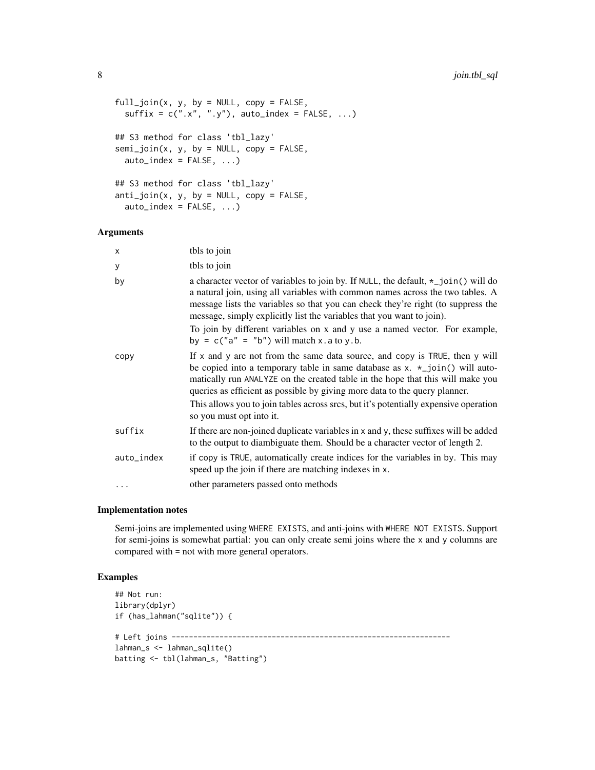```
full\_join(x, y, by = NULL, copy = FALSE,sufficient = c("x", "y"), auto_index = FALSE, ...)## S3 method for class 'tbl_lazy'
semi\_join(x, y, by = NULL, copy = FALSE,auto\_index = FALSE, ...)## S3 method for class 'tbl_lazy'
anti\_join(x, y, by = NULL, copy = FALSE,auto_index = FALSE, ...)
```
#### Arguments

| X          | tbls to join                                                                                                                                                                                                                                                                                                                                                                                                                                                         |
|------------|----------------------------------------------------------------------------------------------------------------------------------------------------------------------------------------------------------------------------------------------------------------------------------------------------------------------------------------------------------------------------------------------------------------------------------------------------------------------|
| У          | tbls to join                                                                                                                                                                                                                                                                                                                                                                                                                                                         |
| by         | a character vector of variables to join by. If NULL, the default, $\star$ _join() will do<br>a natural join, using all variables with common names across the two tables. A<br>message lists the variables so that you can check they're right (to suppress the<br>message, simply explicitly list the variables that you want to join).<br>To join by different variables on x and y use a named vector. For example,<br>by = $c("a" = "b")$ will match x.a to y.b. |
| copy       | If $x$ and $y$ are not from the same data source, and copy is TRUE, then $y$ will<br>be copied into a temporary table in same database as $x. *$ _join() will auto-<br>matically run ANALYZE on the created table in the hope that this will make you<br>queries as efficient as possible by giving more data to the query planner.<br>This allows you to join tables across srcs, but it's potentially expensive operation<br>so you must opt into it.              |
| suffix     | If there are non-joined duplicate variables in x and y, these suffixes will be added<br>to the output to diambiguate them. Should be a character vector of length 2.                                                                                                                                                                                                                                                                                                 |
| auto_index | if copy is TRUE, automatically create indices for the variables in by. This may<br>speed up the join if there are matching indexes in x.                                                                                                                                                                                                                                                                                                                             |
| $\cdots$   | other parameters passed onto methods                                                                                                                                                                                                                                                                                                                                                                                                                                 |

#### Implementation notes

Semi-joins are implemented using WHERE EXISTS, and anti-joins with WHERE NOT EXISTS. Support for semi-joins is somewhat partial: you can only create semi joins where the x and y columns are compared with = not with more general operators.

```
## Not run:
library(dplyr)
if (has_lahman("sqlite")) {
# Left joins ----------------------------------------------------------------
lahman_s <- lahman_sqlite()
batting <- tbl(lahman_s, "Batting")
```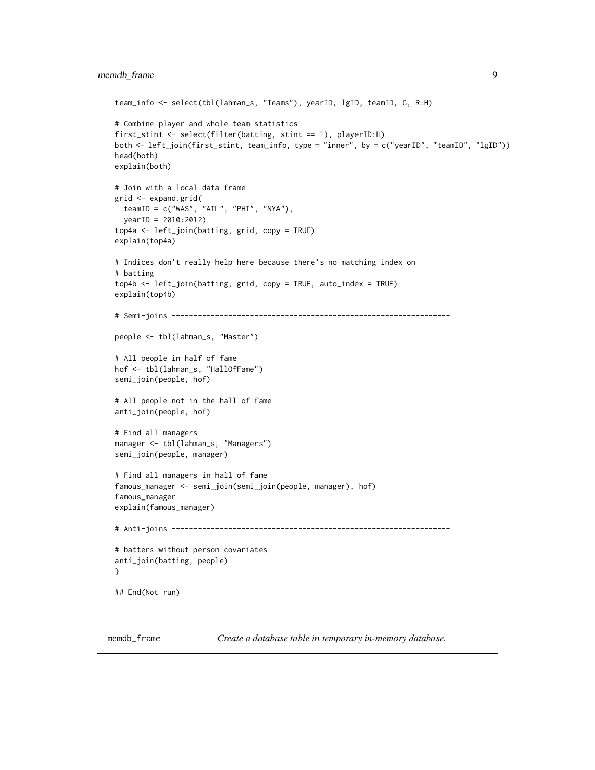```
team_info <- select(tbl(lahman_s, "Teams"), yearID, lgID, teamID, G, R:H)
# Combine player and whole team statistics
first_stint <- select(filter(batting, stint == 1), playerID:H)
both <- left_join(first_stint, team_info, type = "inner", by = c("yearID", "teamID", "lgID"))
head(both)
explain(both)
# Join with a local data frame
grid <- expand.grid(
  teamID = c("WAS", "ATL", "PHI", "NYA"),
  yearID = 2010:2012)
top4a <- left_join(batting, grid, copy = TRUE)
explain(top4a)
# Indices don't really help here because there's no matching index on
# batting
top4b <- left_join(batting, grid, copy = TRUE, auto_index = TRUE)
explain(top4b)
# Semi-joins ----------------------------------------------------------------
people <- tbl(lahman_s, "Master")
# All people in half of fame
hof <- tbl(lahman_s, "HallOfFame")
semi_join(people, hof)
# All people not in the hall of fame
anti_join(people, hof)
# Find all managers
manager <- tbl(lahman_s, "Managers")
semi_join(people, manager)
# Find all managers in hall of fame
famous_manager <- semi_join(semi_join(people, manager), hof)
famous_manager
explain(famous_manager)
# Anti-joins ----------------------------------------------------------------
# batters without person covariates
anti_join(batting, people)
}
## End(Not run)
```
<span id="page-8-1"></span>

memdb\_frame *Create a database table in temporary in-memory database.*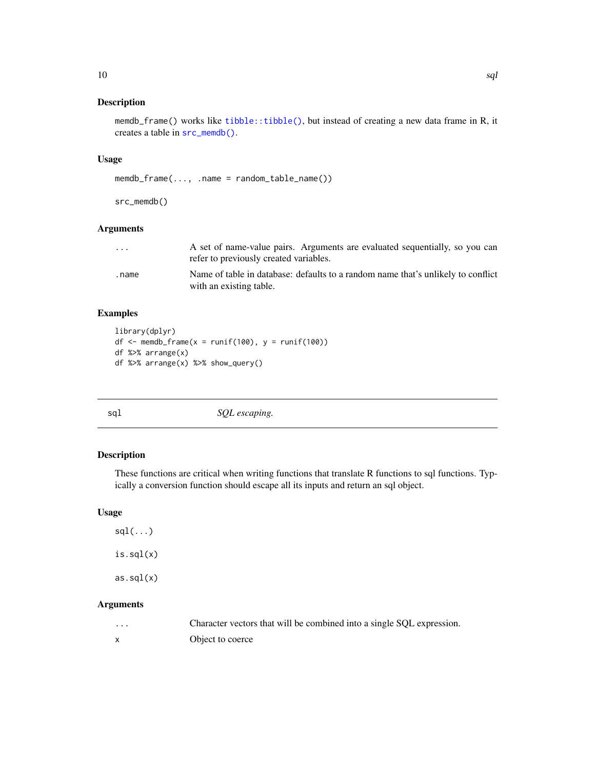<span id="page-9-0"></span>memdb\_frame() works like [tibble::tibble\(\)](#page-0-0), but instead of creating a new data frame in R, it creates a table in [src\\_memdb\(\)](#page-8-1).

### Usage

```
memdb_frame(..., .name = random_table_name())
```
src\_memdb()

#### Arguments

| $\cdot$ $\cdot$ $\cdot$ | A set of name-value pairs. Arguments are evaluated sequentially, so you can<br>refer to previously created variables. |
|-------------------------|-----------------------------------------------------------------------------------------------------------------------|
| .name                   | Name of table in database: defaults to a random name that's unlikely to conflict<br>with an existing table.           |

## Examples

```
library(dplyr)
df \le memdb_frame(x = runif(100), y = runif(100))
df %>% arrange(x)
df %>% arrange(x) %>% show_query()
```
<span id="page-9-1"></span>

|             | ۰.          |
|-------------|-------------|
|             |             |
| I<br>$\sim$ | ×<br>$\sim$ |

```
sql SQL escaping.
```
## Description

These functions are critical when writing functions that translate R functions to sql functions. Typically a conversion function should escape all its inputs and return an sql object.

## Usage

 $sdl(...)$ is.sql(x) as.sql(x)

## Arguments

| $\cdots$ | Character vectors that will be combined into a single SQL expression. |  |  |  |
|----------|-----------------------------------------------------------------------|--|--|--|
|          |                                                                       |  |  |  |

x Object to coerce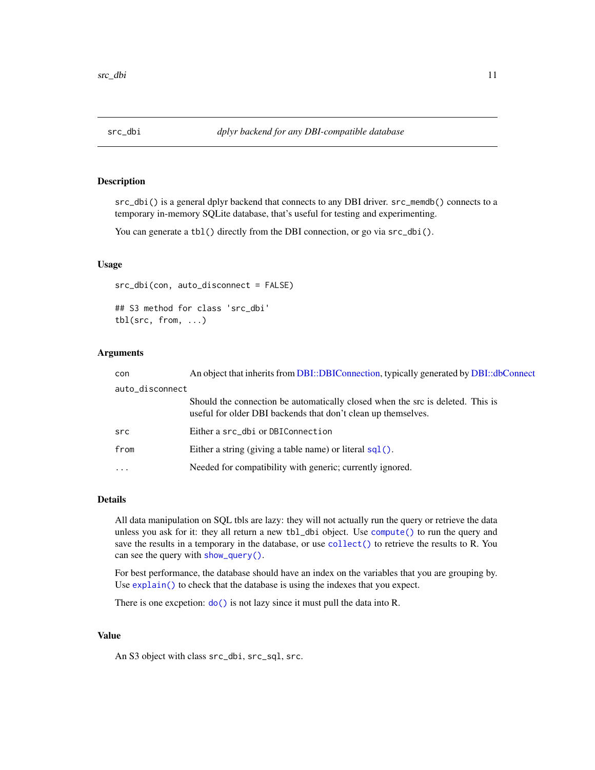<span id="page-10-0"></span>

src\_dbi() is a general dplyr backend that connects to any DBI driver.  $src\_member$  connects to a temporary in-memory SQLite database, that's useful for testing and experimenting.

You can generate a tbl() directly from the DBI connection, or go via  $src\_dbi()$ .

#### Usage

src\_dbi(con, auto\_disconnect = FALSE) ## S3 method for class 'src\_dbi' tbl(src, from, ...)

## Arguments

| con             | An object that inherits from DBI::DBIConnection, typically generated by DBI::dbConnect                                                          |
|-----------------|-------------------------------------------------------------------------------------------------------------------------------------------------|
| auto_disconnect |                                                                                                                                                 |
|                 | Should the connection be automatically closed when the src is deleted. This is<br>useful for older DBI backends that don't clean up themselves. |
| src             | Either a src_dbi or DBIConnection                                                                                                               |
| from            | Either a string (giving a table name) or literal $sql()$ .                                                                                      |
| $\cdots$        | Needed for compatibility with generic; currently ignored.                                                                                       |

## Details

All data manipulation on SQL tbls are lazy: they will not actually run the query or retrieve the data unless you ask for it: they all return a new tbl\_dbi object. Use [compute\(\)](#page-0-0) to run the query and save the results in a temporary in the database, or use [collect\(\)](#page-0-0) to retrieve the results to R. You can see the query with [show\\_query\(\)](#page-0-0).

For best performance, the database should have an index on the variables that you are grouping by. Use [explain\(\)](#page-0-0) to check that the database is using the indexes that you expect.

There is one excpetion:  $do()$  is not lazy since it must pull the data into R.

## Value

An S3 object with class src\_dbi, src\_sql, src.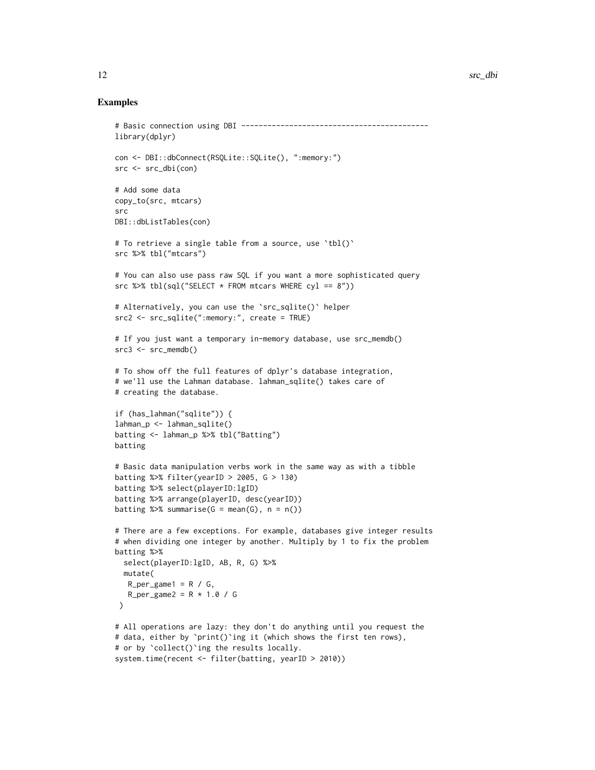```
# Basic connection using DBI -------------------------------------------
library(dplyr)
con <- DBI::dbConnect(RSQLite::SQLite(), ":memory:")
src <- src_dbi(con)
# Add some data
copy_to(src, mtcars)
src
DBI::dbListTables(con)
# To retrieve a single table from a source, use `tbl()`
src %>% tbl("mtcars")
# You can also use pass raw SQL if you want a more sophisticated query
src %>% tbl(sql("SELECT * FROM mtcars WHERE cyl == 8"))
# Alternatively, you can use the `src_sqlite()` helper
src2 <- src_sqlite(":memory:", create = TRUE)
# If you just want a temporary in-memory database, use src_memdb()
src3 \leq src_meandb()# To show off the full features of dplyr's database integration,
# we'll use the Lahman database. lahman_sqlite() takes care of
# creating the database.
if (has_lahman("sqlite")) {
lahman_p <- lahman_sqlite()
batting <- lahman_p %>% tbl("Batting")
batting
# Basic data manipulation verbs work in the same way as with a tibble
batting %>% filter(yearID > 2005, G > 130)
batting %>% select(playerID:lgID)
batting %>% arrange(playerID, desc(yearID))
batting %>% summarise(G = mean(G), n = n())
# There are a few exceptions. For example, databases give integer results
# when dividing one integer by another. Multiply by 1 to fix the problem
batting %>%
  select(playerID:lgID, AB, R, G) %>%
  mutate(
  R_{per\_game1} = R / G,
   R_{per\_game2} = R * 1.0 / G)
# All operations are lazy: they don't do anything until you request the
# data, either by `print()`ing it (which shows the first ten rows),
# or by `collect()`ing the results locally.
system.time(recent <- filter(batting, yearID > 2010))
```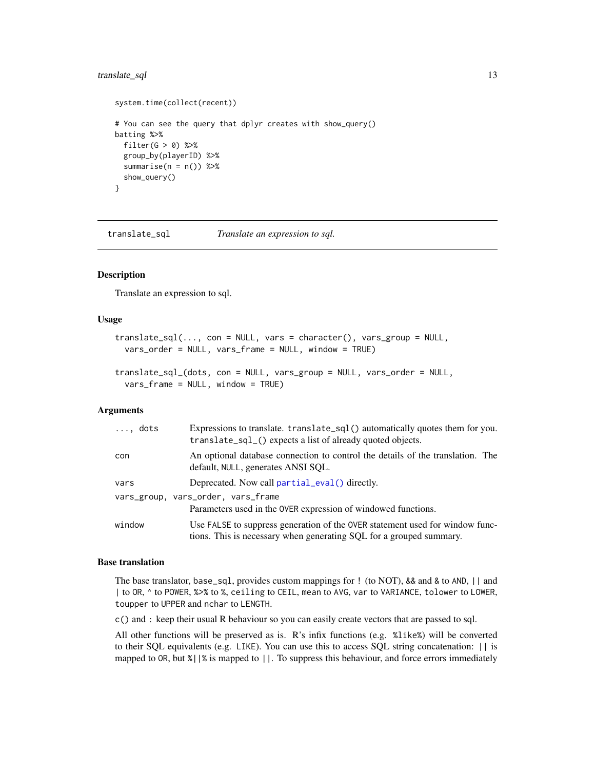## <span id="page-12-0"></span>translate\_sql 13

```
system.time(collect(recent))
# You can see the query that dplyr creates with show_query()
batting %>%
  filter(G > 0) %>%
  group_by(playerID) %>%
  summarise(n = n()) %>%
  show_query()
}
```
translate\_sql *Translate an expression to sql.*

#### Description

Translate an expression to sql.

#### Usage

```
translate\_sql(..., con = NULL, vars = character(), vars\_group = NULL,vars_order = NULL, vars_frame = NULL, window = TRUE)
```

```
translate_sql_(dots, con = NULL, vars_group = NULL, vars_order = NULL,
  vars_frame = NULL, window = TRUE)
```
#### Arguments

| $\ldots$ , dots | Expressions to translate. translate_sql() automatically quotes them for you.<br>translate_sql_() expects a list of already quoted objects.          |
|-----------------|-----------------------------------------------------------------------------------------------------------------------------------------------------|
| con             | An optional database connection to control the details of the translation. The<br>default, NULL, generates ANSI SQL.                                |
| vars            | Deprecated. Now call partial_eval() directly.                                                                                                       |
|                 | vars_group, vars_order, vars_frame                                                                                                                  |
|                 | Parameters used in the OVER expression of windowed functions.                                                                                       |
| window          | Use FALSE to suppress generation of the OVER statement used for window func-<br>tions. This is necessary when generating SQL for a grouped summary. |

## Base translation

The base translator, base\_sql, provides custom mappings for ! (to NOT), && and & to AND, || and | to OR, ^ to POWER, %>% to %, ceiling to CEIL, mean to AVG, var to VARIANCE, tolower to LOWER, toupper to UPPER and nchar to LENGTH.

c() and : keep their usual R behaviour so you can easily create vectors that are passed to sql.

All other functions will be preserved as is. R's infix functions (e.g. %like%) will be converted to their SQL equivalents (e.g. LIKE). You can use this to access SQL string concatenation: || is mapped to OR, but %||% is mapped to ||. To suppress this behaviour, and force errors immediately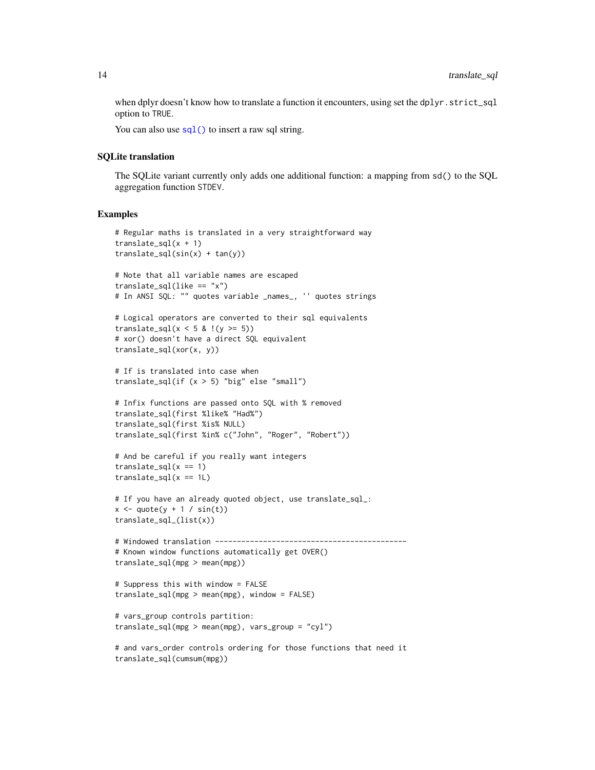when dplyr doesn't know how to translate a function it encounters, using set the dplyr.strict\_sql option to TRUE.

You can also use  $\text{sgl}(\cdot)$  to insert a raw sql string.

#### SQLite translation

The SQLite variant currently only adds one additional function: a mapping from sd() to the SQL aggregation function STDEV.

## Examples

```
# Regular maths is translated in a very straightforward way
translate_sql(x + 1)translate_sql(sin(x) + tan(y))# Note that all variable names are escaped
translate_sql(like == "x")
# In ANSI SQL: "" quotes variable _names_, '' quotes strings
# Logical operators are converted to their sql equivalents
translate_sql(x < 5 & !(y >= 5))
# xor() doesn't have a direct SQL equivalent
translate_sql(xor(x, y))
# If is translated into case when
translate_sql(if (x > 5) "big" else "small")
# Infix functions are passed onto SQL with % removed
translate_sql(first %like% "Had%")
translate_sql(first %is% NULL)
translate_sql(first %in% c("John", "Roger", "Robert"))
# And be careful if you really want integers
translate_sql(x == 1)translate_sql(x == 1L)# If you have an already quoted object, use translate_sql_:
x \leftarrow \text{quote}(y + 1 / \sin(t))translate_sql_(list(x))
# Windowed translation --------------------------------------------
# Known window functions automatically get OVER()
translate_sql(mpg > mean(mpg))
# Suppress this with window = FALSE
translate_sql(mpg > mean(mpg), window = FALSE)
# vars_group controls partition:
translate_sql(mpg > mean(mpg), vars_group = "cyl")
# and vars_order controls ordering for those functions that need it
```
translate\_sql(cumsum(mpg))

<span id="page-13-0"></span>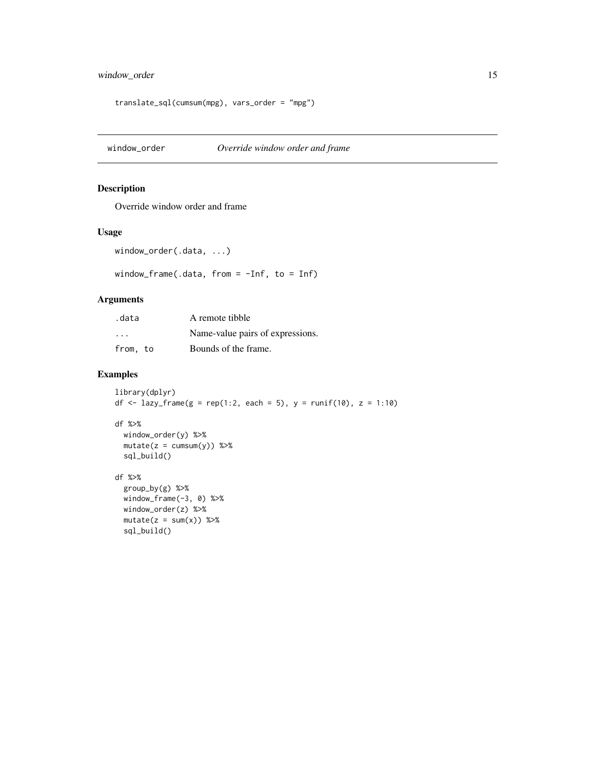## <span id="page-14-0"></span>window\_order 15

```
translate_sql(cumsum(mpg), vars_order = "mpg")
```
window\_order *Override window order and frame*

## Description

Override window order and frame

#### Usage

```
window_order(.data, ...)
```
window\_frame(.data, from = -Inf, to = Inf)

## Arguments

| .data    | A remote tibble                  |
|----------|----------------------------------|
| .        | Name-value pairs of expressions. |
| from, to | Bounds of the frame.             |

```
library(dplyr)
df <- lazy_frame(g = rep(1:2, each = 5), y = runif(10), z = 1:10)
df %>%
 window_order(y) %>%
 mutate(z = cumsum(y)) %sql_build()
df %>%
 group_by(g) %>%
 window_frame(-3, 0) %>%
 window_order(z) %>%
 mutate(z = sum(x)) %sql_build()
```